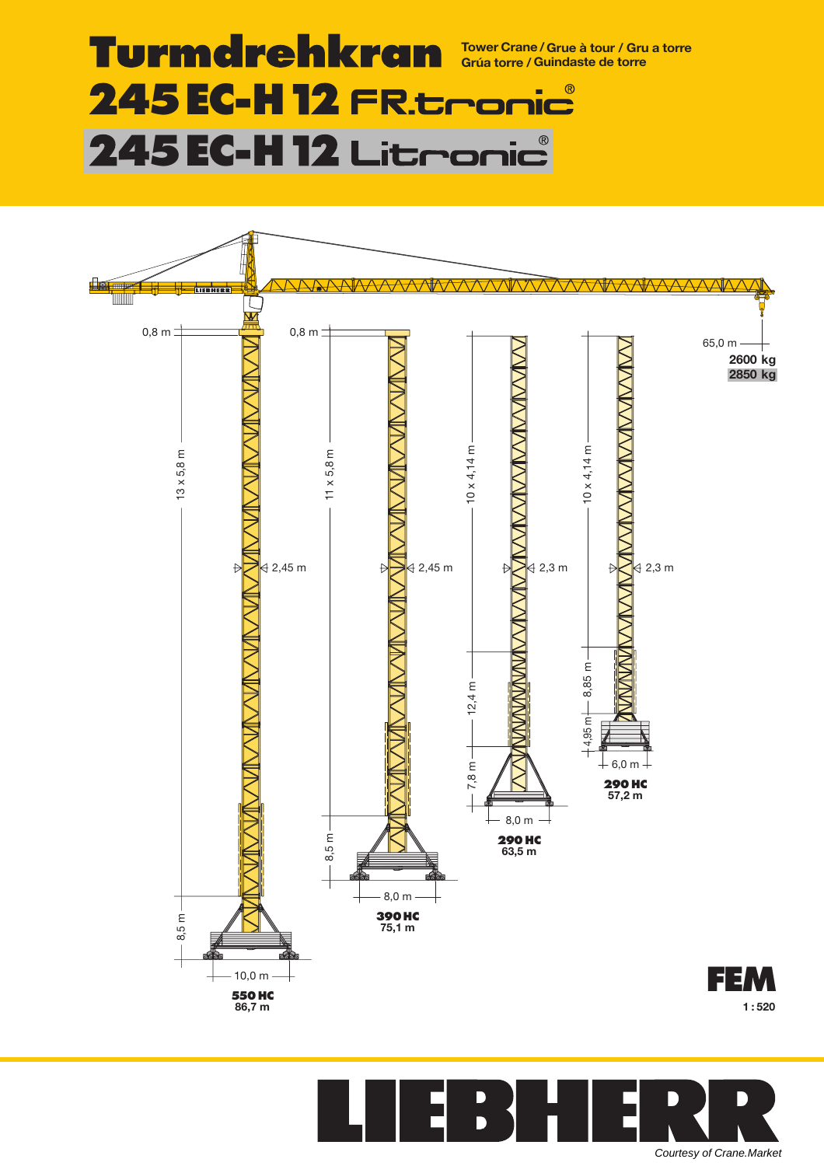#### **Turmdrehkran Tower Crane /Grue à tour / Gru a torre Grúa torre / Guindaste de torre 45EC-H**  $\overline{\mathbb{R}}$ н <u>NC</u> **45EC-H**  $^{\circledR}$ 11C



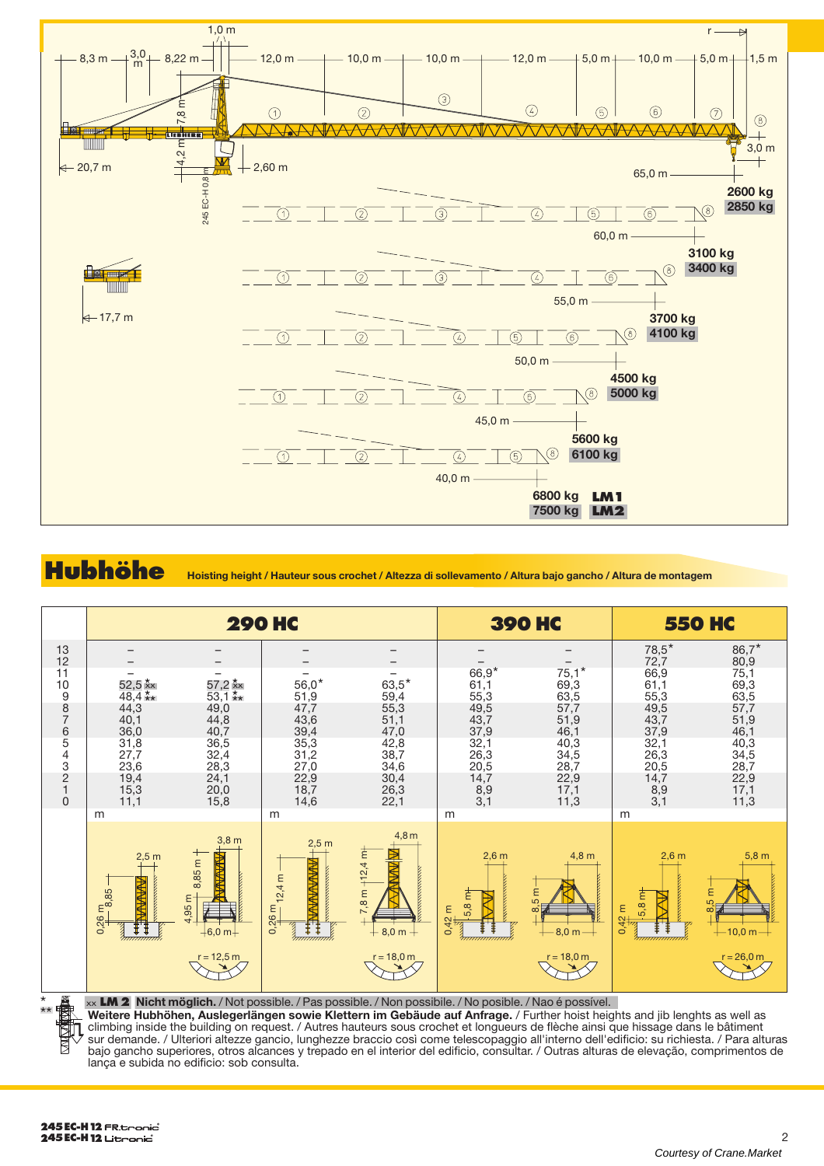

## **Hubhöhe Hoisting height / Hauteur sous crochet / Altezza di sollevamento / Altura bajo gancho / Altura de montagem**



xx **LM 2 Nicht möglich.** / Not possible. / Pas possible. / Non possibile. / No posible. / Nao é possível.

**Weitere Hubhöhen, Auslegerlängen sowie Klettern im Gebäude auf Anfrage.** / Further hoist heights and jib lenghts as well as climbing inside the building on request. / Autres hauteurs sous crochet et longueurs de flèche ainsi que hissage dans le bâtiment sur demande. / Ulteriori altezze gancio, lunghezze braccio così come telescopaggio all'interno dell'edificio: su richiesta. / Para alturas bajo gancho superiores, otros alcances y trepado en el interior del edificio, consultar. / Outras alturas de elevação, comprimentos de lança e subida no edificio: sob consulta.

\*\*

P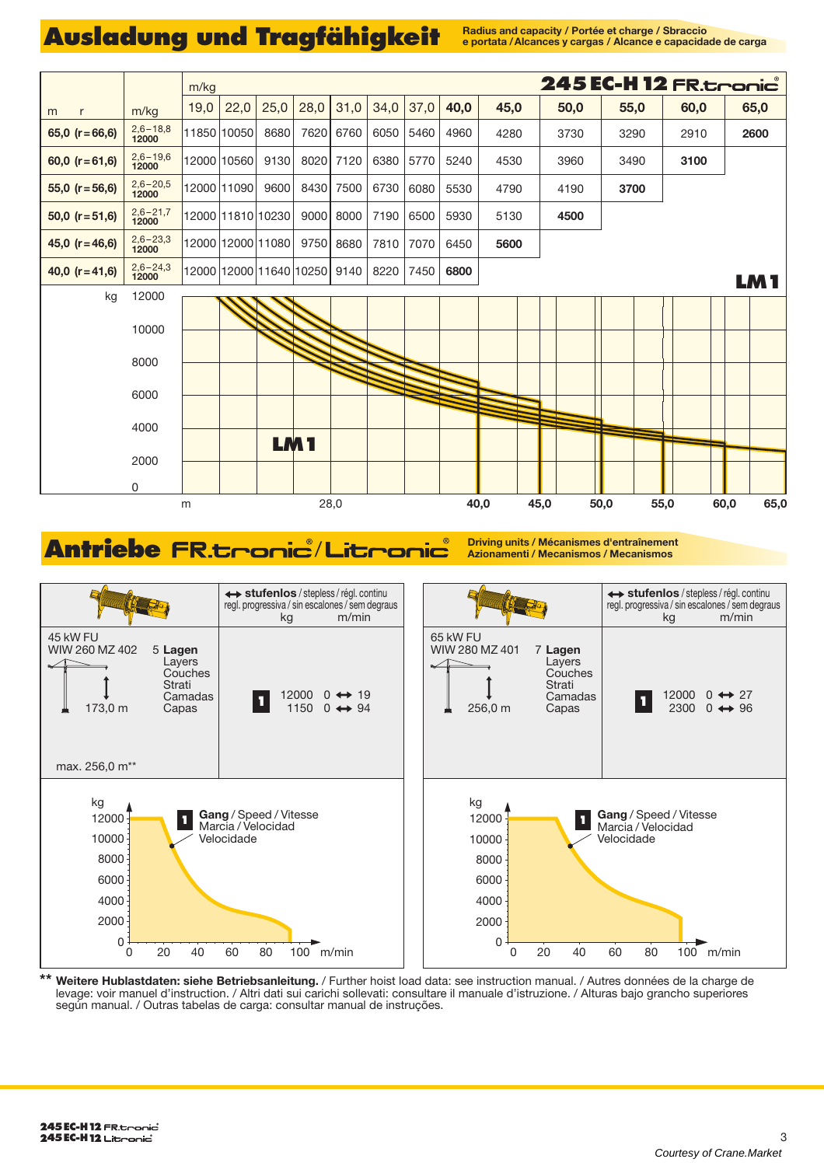# Ausladung und Tragfähigkeit **Radius and capacity / Portée et charge / Sbraccio**

**e portata /Alcances y cargas / Alcance e capacidade de carga**



## **Antriebe Driving units / Mécanismes d'entraînement** / **Azionamenti / Mecanismos / Mecanismos**



**\*\* Weitere Hublastdaten: siehe Betriebsanleitung.** / Further hoist load data: see instruction manual. / Autres données de la charge de levage: voir manuel d'instruction. / Altri dati sui carichi sollevati: consultare il manuale d'istruzione. / Alturas bajo grancho superiores según manual. / Outras tabelas de carga: consultar manual de instruções.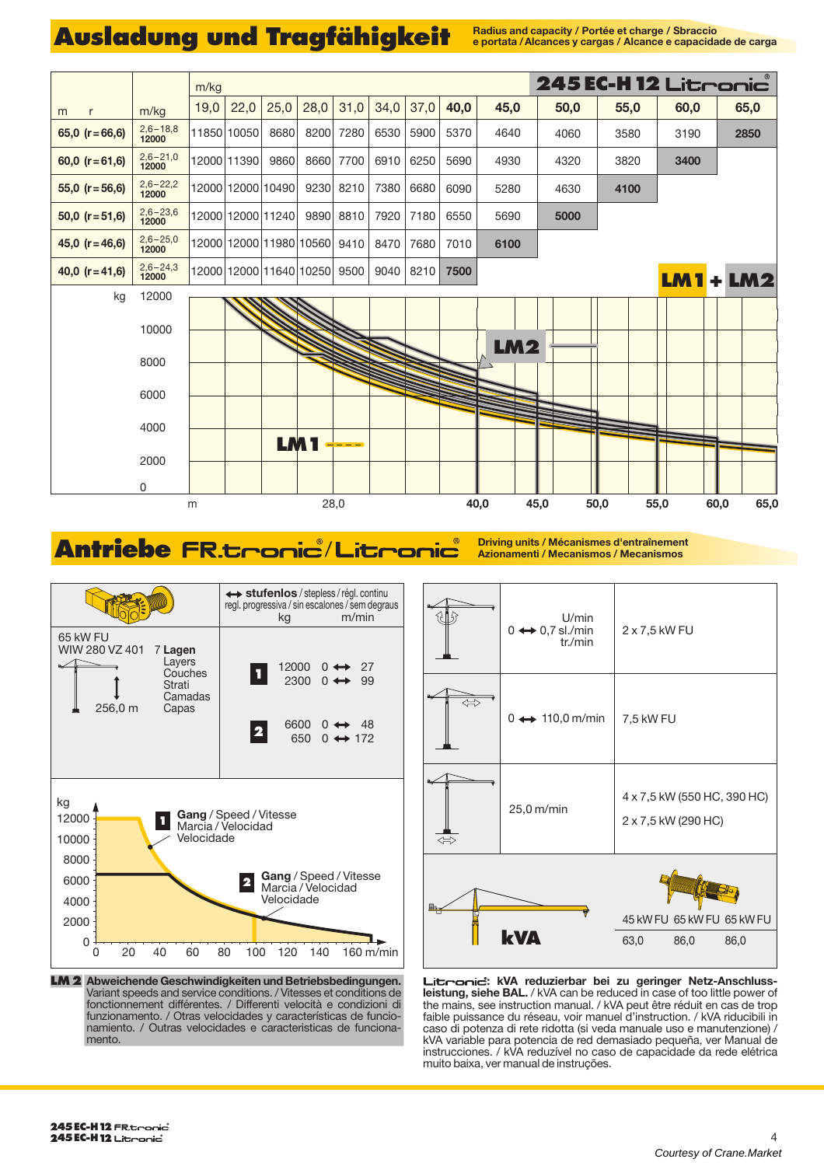# Ausladung und Tragfähigkeit **Radius and capacity / Portée et charge / Sbraccio**

**e portata /Alcances y cargas / Alcance e capacidade de carga**



### Antriebe FR.<del>Lronic</del> / Litronic **Antrief Azionamenti / Mécanismes d'entraînement**





**LM2 Abweichende Geschwindigkeiten und Betriebsbedingungen.** Variant speeds and service conditions. / Vitesses et conditions de fonctionnement différentes. / Differenti velocità e condizioni di funzionamento. / Otras velocidades y características de funcionamiento. / Outras velocidades e caracteristicas de funcionamento.

Litronic: kVA reduzierbar bei zu geringer Netz-Anschluss**leistung, siehe BAL.** / kVA can be reduced in case of too little power of the mains, see instruction manual. / kVA peut être réduit en cas de trop faible puissance du réseau, voir manuel d'instruction. / kVA riducibili in caso di potenza di rete ridotta (si veda manuale uso e manutenzione) / kVA variable para potencia de red demasiado pequeña, ver Manual de instrucciones. / kVA reduzível no caso de capacidade da rede elétrica muito baixa, ver manual de instruções.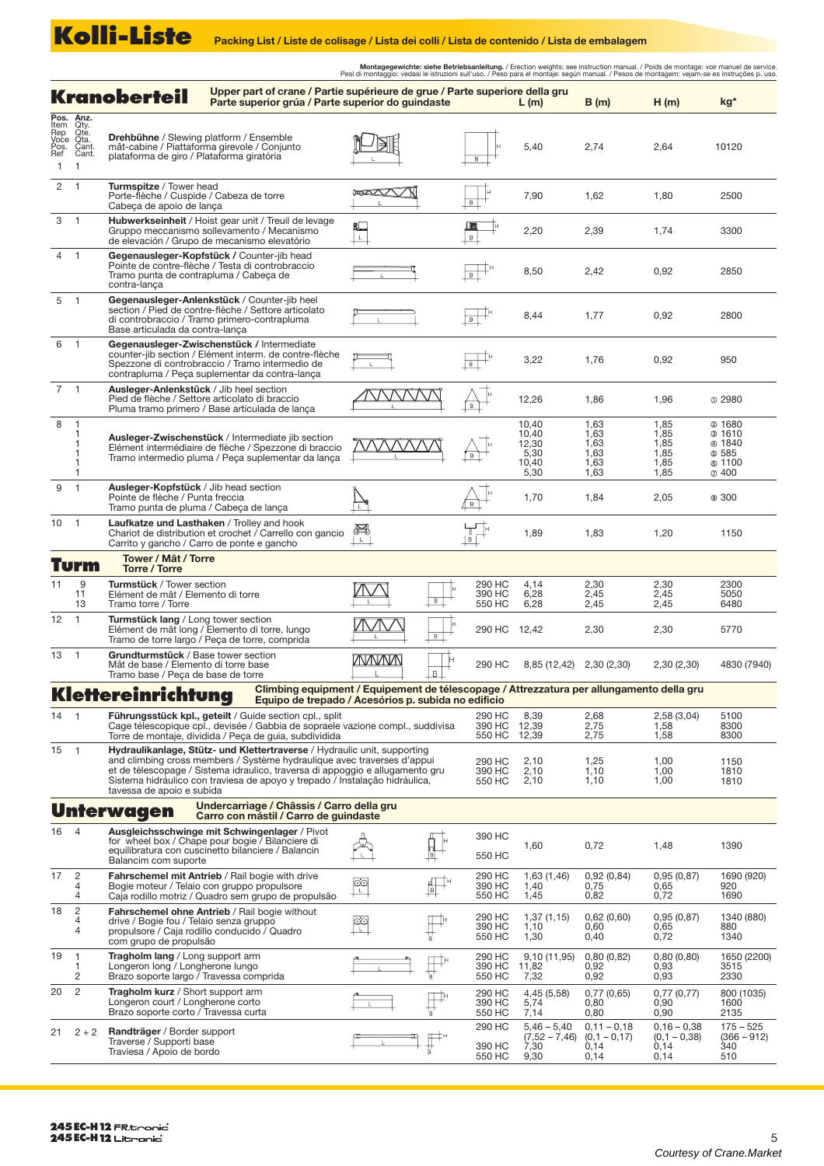Montagegewichte: siehe Betriebsanleitung. / Erection weights: see instruction manual. / Poids de montage: voir manuel de service.<br>Pesi di montaggio: vedasi le istruzioni sull'uso. / Peso para el montaje: según manual. / Pe **Kranoberteil** Upper part of crane / Partie supérieure de grue / Parte superiore della gru<br> **Kranoberteil** Parte superior grúa / Parte superior do guindaste L (m) B (m) H (m) kg\* **Pos. Anz.**<br>Qty.<br>Qte.<br>Cant.<br>Cant. Item Rep Voce **Drehbühne** / Slewing platform / Ensemble<br>mât-cabine / Piattaforma girevole / Conjunto<br>plataforma de giro / Plataforma giratória DI 5,40 2,74 10120 2,64 Ref Pos. 1 1 2 1 **Turmspitze** / Tower head<br>Porte-flèche / Cuspide / Cabeza de torre<br>Cabeça de apoio de lança  $\overline{\phantom{a}}$  $\mathbb{R}$ 7,90 2500 1,62  $1,80$ 3 1 **Hubwerkseinheit** / Hoist gear unit / Treuil de levage 止 Gruppo meccanismo sollevamento / Mecanismo de elevación / Grupo de mecanismo elevatório 2,20 2,39 1,74 3300 4 **Gegenausleger-Kopfstück /** Counter-jib head 1 Pointe de contre-flèche / Testa di controbraccio Tramo punta de contrapluma / Cabeça de  $\overline{\mathbb{H}}^{\mathbb{P}}$ 2850 8,50 2,42 0,92 contra-lança **Gegenausleger-Anlenkstück** / Counter-jib heel 5 1 section / Pied de contre-flèche / Settore articolato di controbraccio / Tramo primero-contrapluma  $\overline{\mathbb{H}}^{\mathbb{H}}$ 1,77 0,92 2800 8,44 Base articulada da contra-lança **Gegenausleger-Zwischenstück /** Intermediate 6 1 counter-jib section / Elément interm. de contre-flèche  $\overline{\mathbb{H}}^{\mathbb{H}}$ 3,22 1,76 0,92 950 Spezzone di controbraccio / Tramo intermedio de contrapluma / Peça suplementar da contra-lança 7 1 **Ausleger-Anlenkstück** / Jib heel section MVVVVV  $\overrightarrow{B}$ 12,26 1,86 1,96 2980 Pied de flèche / Settore articolato di braccio Pluma tramo primero / Base articulada de lança 8 1,85 10,40 1,63 @ 1680 1  $10,40$  $1,63$ 1,85  $31610$ 1 **Ausleger-Zwischenstück** / Intermediate jib section Elément intermédiaire de flèche / Spezzone di braccio  $12,30$ 1,63  $@1840$ 1,85 1  $\overrightarrow{B}$ 1,63 1 5,30 1,85 585 1100 Tramo intermedio pluma / Peça suplementar da lança 10,40 1,63 1,85 1  $\oslash$  400 5,30 1,63 1,85 1 **Ausleger-Kopfstück** / Jib head section 9 1  $\sum_{k}$ Pointe de flèche / Punta freccia 1,70 1,84 2,05 ® 300  $\overleftrightarrow{\cdot}$ Tramo punta de pluma / Cabeça de lança 10 1 **Laufkatze und Lasthaken** / Trolley and hook<br>Chariot de distribution et crochet / Carrello con gancio E  $\frac{1}{\frac{1}{\sqrt{2}}}$ 1,89 1,83 1,20 1150 Carrito y gancho / Carro de ponte e gancho **Turm Tower / Mât / Torre Torre / Torre** 11 **Turmstück** / Tower section  $2,30$  $2,30$ 2300  $\overline{9}$ 290 HC 4,14  $\mathbb N$ Elément de mât / Elemento di torre 5050 11 13 390 HC 550 HC 6,28 6,28 2,45 2,45 2,45 2,45  $\overline{\phantom{a}}$ Tramo torre / Torre 6480 12 1 **Turmstück lang** / Long tower section Elément de mât long / Elemento di torre, lungo ИVЛ 2,30 2,30 5770 290 HC 12,42 Tramo de torre largo / Peça de torre, comprida **Grundturmstück** / Base tower section 13 1 <u>WWWW</u> 290 HC 4830 (7940) 2,30 (2,30) Mât de base / Elemento di torre base Tramo base / Peça de base de torre 8,85 (12,42) 2,30 (2,30)  $\overline{B}$ **Klettereinrichtung Climbing equipment / Equipement de télescopage / Attrezzatura per allungamento della gru Equipo de trepado / Acesórios p. subida no edificio** 14 290 HC 8,39 2,58 (3,04) 5100 1 **Führungsstück kpl., geteilt** / Guide section cpl., split<br>Cage télescopique cpl., devisée / Gabbia de sopraele vazione compl., suddivisa 2,68 2,75 2,75 390 HC  $12.39$ 1,58  $8300$ 550 HC Torre de montaje, dividida / Peça de guia, subdividida 12,39 8300 1,58 15 1 **Hydraulikanlage, Stütz- und Klettertraverse** / Hydraulic unit, supporting and climbing cross members / Système hydraulique avec traverses d'appui et de télescopage / Sistema idraulico, traversa di appoggio e allugamento gru 290 HC 1,25 1,00 2,10 2,10 1150 390 HC 1,10 1,10 1,00 1810 Sistema hidráulico con traviesa de apoyo y trepado / Instalação hidráulica, 550 HC  $2,10$  $1,00$ 1810 tavessa de apoio e subida **Unterwagen Undercarriage / Châssis / Carro della gru Carro con mástil / Carro de guindaste** 16 4 **Ausgleichsschwinge mit Schwingenlager** / Pivot<br>for wheel box / Chape pour bogie / Bilanciere di<br>equilibratura con cuscinetto bilanciere / Balancin<br>Balancim com suporte 390 HC 卧 1,60 0,72 1,48 1390 550 HC  $\overline{2}$ **Fahrschemel mit Antrieb** / Rail bogie with drive  $0,92(0,84)$ 1690 (920) 17 290 HC 1,63 (1,46) 0,95 (0,87) ုတ  $\mathbb{H}^+$ Bogie moteur / Telaio con gruppo propulsore 390 HC 1,40 0,65 4 0,75 920 Caja rodillo motriz / Quadro sem grupo de propulsão 1690 4 550 HC 1,45 0.82 0,72 **Fahrschemel ohne Antrieb** / Rail bogie without 18 2 4  $\mathop{\prod}\limits_{\mathbf{k}}^{\mathbf{k}}$ 290 HC 1,37 (1,15) 0,62 (0,60) 0,95 (0,87) 1340 (880)  $\frac{1}{2}$ drive / Bogie fou / Telaio senza gruppo propulsore / Caja rodillo conducido / Quadro 390 HC 550 HC 1,10 1,30  $0.60$ 0,65 0,72 880 4  $0,40$ 1340 com grupo de propulsão **Tragholm lang** / Long support arm 19 290 HC 0,80 (0,82) 0,80 (0,80) 1650 (2200) 1 9,10 (11,95)  $\mathbb{H}^*$ 390 HC  $0.92$  $0.93$ 3515 1 Longeron long / Longherone lungo<br>Brazo soporte largo / Travessa comprida 11,82 7,32 550 HC 0,92 0,93 2330 2  $\overline{20}$  2 **Tragholm kurz** / Short support arm  $\mathbb{F}$ 0,77 (0,65) 0,77 (0,77) 290 HC 390 HC 4,45 (5,58) 5,74 800 (1035) 1600 Longeron court / Longherone corto  $0,80$  $0,90$ Brazo soporte corto / Travessa curta 550 HC 7,14 0,80 0,90 2135  $0.16 - 0.38$  $175 - 525$ 290 HC 5,46 – 5,40 (7,52 – 7,46) 7,30 0,11 – 0,18 (0,1 – 0,17) 0,14 21 2 + 2 **Randträger** / Border support Traverse / Supporti base Traviesa / Apoio de bordo  $\overline{\mathbb{F}}^*$ (0,1 – 0,38) 0,14 (366 – 912) 340 390 HC 550 HC 9,30  $0,14$  $0,14$ 510